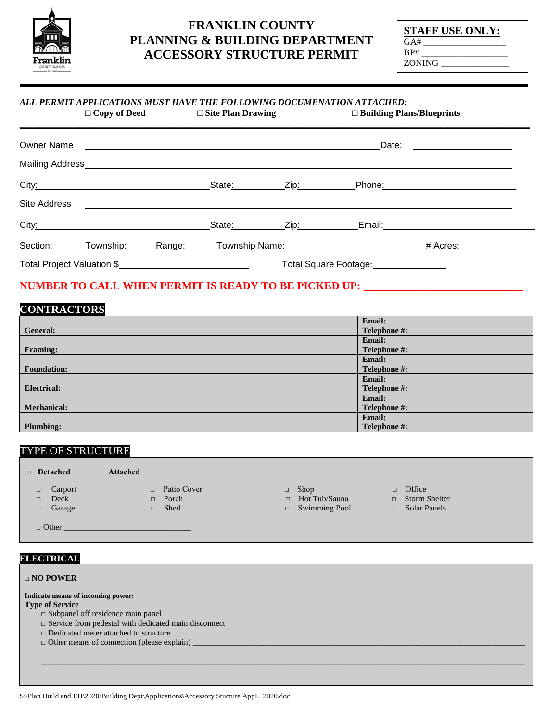

# **FRANKLIN COUNTY PLANNING & BUILDING DEPARTMENT ACCESSORY STRUCTURE PERMIT**

**STAFF USE ONLY:**  $\overline{GA#}$  $BP#$ ZONING \_\_\_\_\_\_\_\_\_\_\_\_\_\_\_

#### *ALL PERMIT APPLICATIONS MUST HAVE THE FOLLOWING DOCUMENATION ATTACHED:*<br>  $\Box$  Copy of Deed  $\Box$  Site Plan Drawing  $\Box$  Building Plan **□ Copy of Deed □ Site Plan Drawing □ Building Plans/Blueprints**

|                            |  |  | Date:<br><u> 1986 - Johann Stein, fransk politik (</u> |  |                                                                                                                                                                                                                               |  |
|----------------------------|--|--|--------------------------------------------------------|--|-------------------------------------------------------------------------------------------------------------------------------------------------------------------------------------------------------------------------------|--|
|                            |  |  |                                                        |  |                                                                                                                                                                                                                               |  |
|                            |  |  |                                                        |  |                                                                                                                                                                                                                               |  |
|                            |  |  |                                                        |  |                                                                                                                                                                                                                               |  |
|                            |  |  |                                                        |  | City: City: City: City: City: City: City: City: City: City: City: City: City: City: City: City: City: City: City: City: City: City: City: City: City: City: City: City: City: City: City: City: City: City: City: City: City: |  |
|                            |  |  |                                                        |  | Section: Township: Range: Township Name: 1991 Manne: 1992 Maria Mcres: 1992 Maria Mcres: 1993                                                                                                                                 |  |
| Total Project Valuation \$ |  |  | Total Square Footage:<br><u>[</u>                      |  |                                                                                                                                                                                                                               |  |

## **NUMBER TO CALL WHEN PERMIT IS READY TO BE PICKED UP: \_\_\_\_\_\_\_\_\_\_\_\_\_\_\_\_\_\_\_\_\_\_\_\_\_**

## **CONTRACTORS**

|                    | <b>Email:</b> |
|--------------------|---------------|
| General:           | Telephone #:  |
|                    | <b>Email:</b> |
| <b>Framing:</b>    | Telephone #:  |
|                    | Email:        |
| <b>Foundation:</b> | Telephone #:  |
|                    | Email:        |
| <b>Electrical:</b> | Telephone #:  |
|                    | <b>Email:</b> |
| <b>Mechanical:</b> | Telephone #:  |
|                    | Email:        |
| <b>Plumbing:</b>   | Telephone #:  |

### TYPE OF STRUCTURE

| $\Box$ Detached                                         | $\Box$ Attached |                                                   |                                                             |                                                              |  |
|---------------------------------------------------------|-----------------|---------------------------------------------------|-------------------------------------------------------------|--------------------------------------------------------------|--|
| Carport<br>$\Box$<br>Deck<br>$\Box$<br>Garage<br>$\Box$ | $\Box$          | $\Box$ Patio Cover<br>$\Box$ Porch<br><b>Shed</b> | $\Box$ Shop<br>$\Box$ Hot Tub/Sauna<br>$\Box$ Swimming Pool | $\Box$ Office<br>$\Box$ Storm Shelter<br>$\Box$ Solar Panels |  |
| $\Box$ Other                                            |                 |                                                   |                                                             |                                                              |  |

### **ELECTRICAL**

| $\Box$ NO POWER                                                |  |
|----------------------------------------------------------------|--|
| Indicate means of incoming power:                              |  |
| <b>Type of Service</b>                                         |  |
| $\square$ Subpanel off residence main panel                    |  |
| $\square$ Service from pedestal with dedicated main disconnect |  |
| $\Box$ Dedicated meter attached to structure                   |  |
| $\Box$ Other means of connection (please explain)              |  |
|                                                                |  |
|                                                                |  |